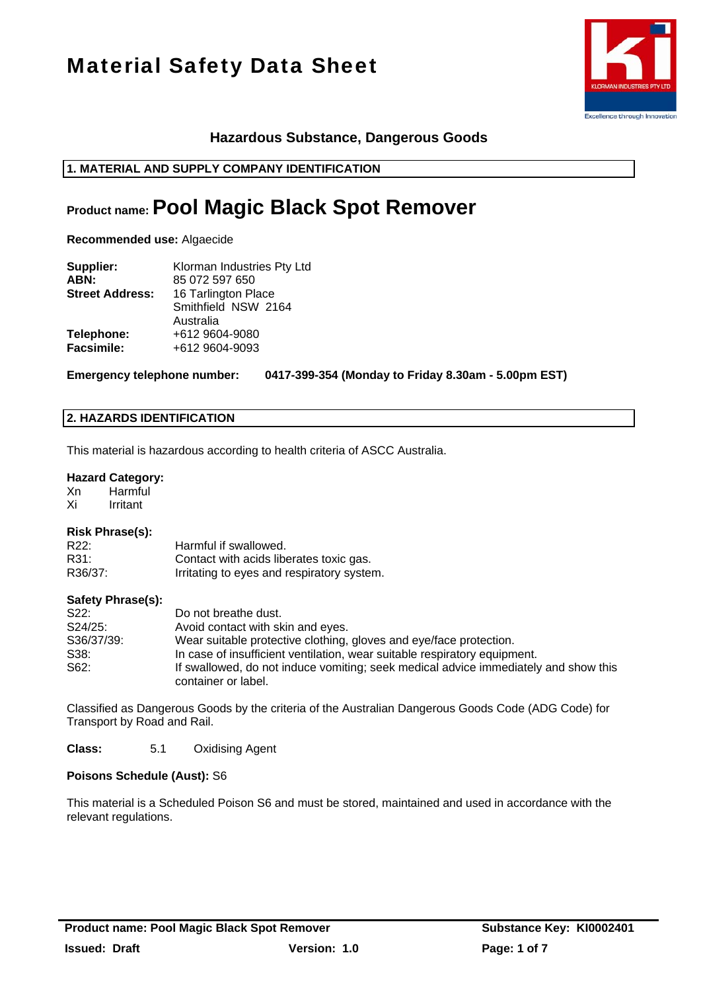

## **Hazardous Substance, Dangerous Goods**

## **1. MATERIAL AND SUPPLY COMPANY IDENTIFICATION**

# **Product name: Pool Magic Black Spot Remover**

**Recommended use:** Algaecide

| Supplier:              | Klorman Industries Pty Ltd |  |  |
|------------------------|----------------------------|--|--|
| ABN:                   | 85 072 597 650             |  |  |
| <b>Street Address:</b> | 16 Tarlington Place        |  |  |
|                        | Smithfield NSW 2164        |  |  |
|                        | Australia                  |  |  |
| Telephone:             | +612 9604-9080             |  |  |
| <b>Facsimile:</b>      | +612 9604-9093             |  |  |

**Emergency telephone number: 0417-399-354 (Monday to Friday 8.30am - 5.00pm EST)** 

## **2. HAZARDS IDENTIFICATION**

This material is hazardous according to health criteria of ASCC Australia.

### **Hazard Category:**

Xn Harmful Xi Irritant

### **Risk Phrase(s):**

|         | . .                                        |
|---------|--------------------------------------------|
| R22:    | Harmful if swallowed.                      |
| R31:    | Contact with acids liberates toxic gas.    |
| R36/37: | Irritating to eyes and respiratory system. |

### **Safety Phrase(s):**

| Do not breathe dust.                                                                                       |
|------------------------------------------------------------------------------------------------------------|
| Avoid contact with skin and eyes.                                                                          |
| Wear suitable protective clothing, gloves and eye/face protection.                                         |
| In case of insufficient ventilation, wear suitable respiratory equipment.                                  |
| If swallowed, do not induce vomiting; seek medical advice immediately and show this<br>container or label. |
|                                                                                                            |

Classified as Dangerous Goods by the criteria of the Australian Dangerous Goods Code (ADG Code) for Transport by Road and Rail.

**Class:** 5.1 Oxidising Agent

## **Poisons Schedule (Aust):** S6

This material is a Scheduled Poison S6 and must be stored, maintained and used in accordance with the relevant regulations.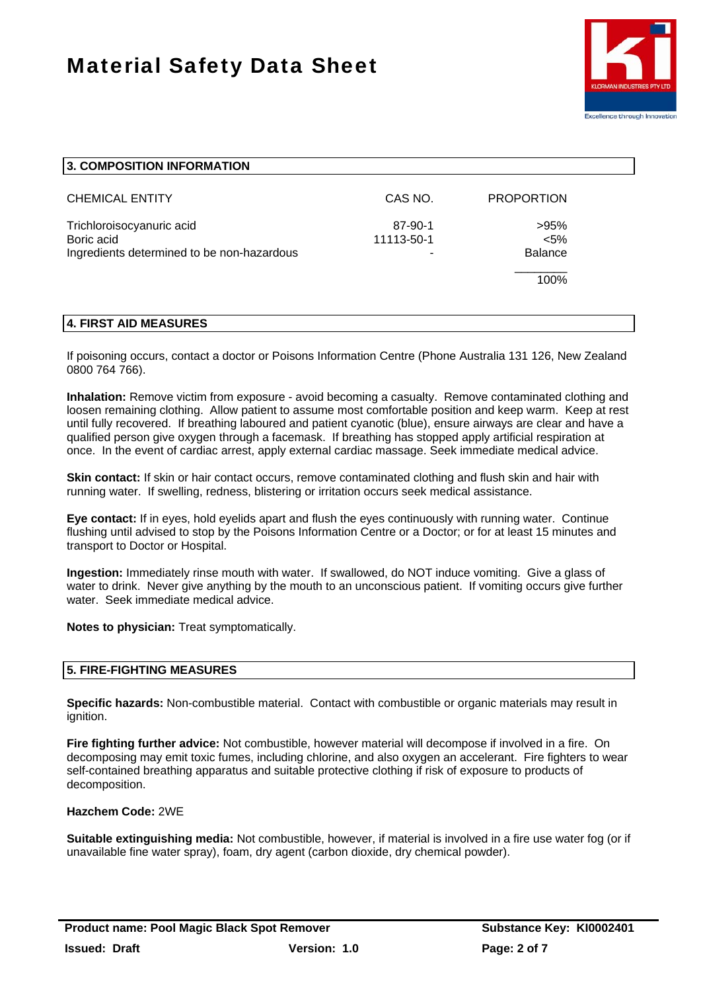

| 3. COMPOSITION INFORMATION                                                            |                            |                                   |
|---------------------------------------------------------------------------------------|----------------------------|-----------------------------------|
| <b>CHEMICAL ENTITY</b>                                                                | CAS NO.                    | <b>PROPORTION</b>                 |
| Trichloroisocyanuric acid<br>Boric acid<br>Ingredients determined to be non-hazardous | 87-90-1<br>11113-50-1<br>- | >95%<br>$< 5\%$<br><b>Balance</b> |
|                                                                                       |                            | 100%                              |
| 4. FIRST AID MEASURES                                                                 |                            |                                   |

If poisoning occurs, contact a doctor or Poisons Information Centre (Phone Australia 131 126, New Zealand 0800 764 766).

**Inhalation:** Remove victim from exposure - avoid becoming a casualty. Remove contaminated clothing and loosen remaining clothing. Allow patient to assume most comfortable position and keep warm. Keep at rest until fully recovered. If breathing laboured and patient cyanotic (blue), ensure airways are clear and have a qualified person give oxygen through a facemask. If breathing has stopped apply artificial respiration at once. In the event of cardiac arrest, apply external cardiac massage. Seek immediate medical advice.

**Skin contact:** If skin or hair contact occurs, remove contaminated clothing and flush skin and hair with running water. If swelling, redness, blistering or irritation occurs seek medical assistance.

**Eye contact:** If in eyes, hold eyelids apart and flush the eyes continuously with running water. Continue flushing until advised to stop by the Poisons Information Centre or a Doctor; or for at least 15 minutes and transport to Doctor or Hospital.

**Ingestion:** Immediately rinse mouth with water. If swallowed, do NOT induce vomiting. Give a glass of water to drink. Never give anything by the mouth to an unconscious patient. If vomiting occurs give further water. Seek immediate medical advice.

**Notes to physician:** Treat symptomatically.

## **5. FIRE-FIGHTING MEASURES**

**Specific hazards:** Non-combustible material. Contact with combustible or organic materials may result in ignition.

**Fire fighting further advice:** Not combustible, however material will decompose if involved in a fire. On decomposing may emit toxic fumes, including chlorine, and also oxygen an accelerant. Fire fighters to wear self-contained breathing apparatus and suitable protective clothing if risk of exposure to products of decomposition.

### **Hazchem Code:** 2WE

**Suitable extinguishing media:** Not combustible, however, if material is involved in a fire use water fog (or if unavailable fine water spray), foam, dry agent (carbon dioxide, dry chemical powder).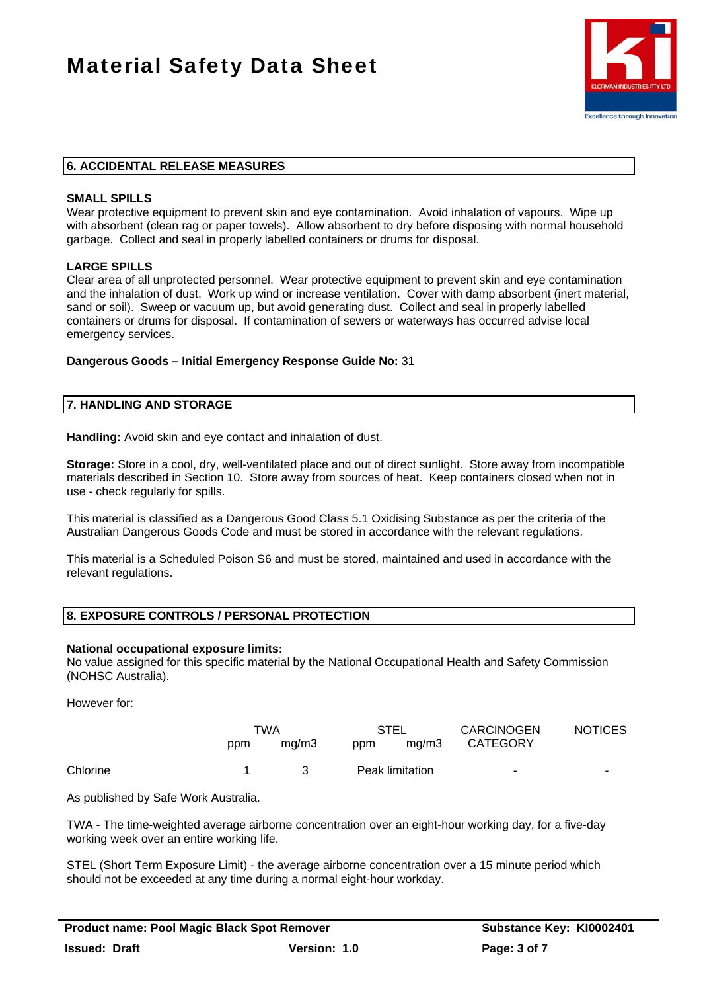

## **6. ACCIDENTAL RELEASE MEASURES**

#### **SMALL SPILLS**

Wear protective equipment to prevent skin and eye contamination. Avoid inhalation of vapours. Wipe up with absorbent (clean rag or paper towels). Allow absorbent to dry before disposing with normal household garbage. Collect and seal in properly labelled containers or drums for disposal.

### **LARGE SPILLS**

Clear area of all unprotected personnel. Wear protective equipment to prevent skin and eye contamination and the inhalation of dust. Work up wind or increase ventilation. Cover with damp absorbent (inert material, sand or soil). Sweep or vacuum up, but avoid generating dust. Collect and seal in properly labelled containers or drums for disposal. If contamination of sewers or waterways has occurred advise local emergency services.

### **Dangerous Goods – Initial Emergency Response Guide No:** 31

### **7. HANDLING AND STORAGE**

**Handling:** Avoid skin and eye contact and inhalation of dust.

**Storage:** Store in a cool, dry, well-ventilated place and out of direct sunlight. Store away from incompatible materials described in Section 10. Store away from sources of heat. Keep containers closed when not in use - check regularly for spills.

This material is classified as a Dangerous Good Class 5.1 Oxidising Substance as per the criteria of the Australian Dangerous Goods Code and must be stored in accordance with the relevant regulations.

This material is a Scheduled Poison S6 and must be stored, maintained and used in accordance with the relevant regulations.

## **8. EXPOSURE CONTROLS / PERSONAL PROTECTION**

### **National occupational exposure limits:**

No value assigned for this specific material by the National Occupational Health and Safety Commission (NOHSC Australia).

However for:

|          |     | TWA   |     | <b>STEL</b>     | <b>CARCINOGEN</b> | <b>NOTICES</b> |
|----------|-----|-------|-----|-----------------|-------------------|----------------|
|          | ppm | ma/m3 | ppm | mg/m3           | CATEGORY          |                |
| Chlorine |     |       |     | Peak limitation |                   | ۰              |

As published by Safe Work Australia.

TWA - The time-weighted average airborne concentration over an eight-hour working day, for a five-day working week over an entire working life.

STEL (Short Term Exposure Limit) - the average airborne concentration over a 15 minute period which should not be exceeded at any time during a normal eight-hour workday.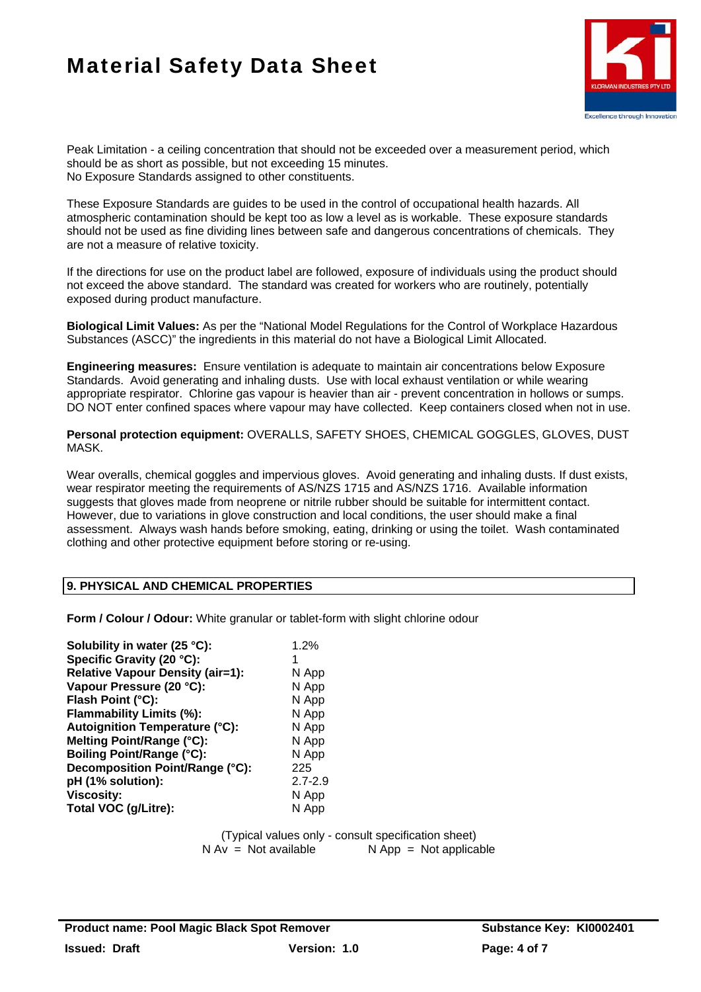# Material Safety Data Sheet



Peak Limitation - a ceiling concentration that should not be exceeded over a measurement period, which should be as short as possible, but not exceeding 15 minutes. No Exposure Standards assigned to other constituents.

These Exposure Standards are guides to be used in the control of occupational health hazards. All atmospheric contamination should be kept too as low a level as is workable. These exposure standards should not be used as fine dividing lines between safe and dangerous concentrations of chemicals. They are not a measure of relative toxicity.

If the directions for use on the product label are followed, exposure of individuals using the product should not exceed the above standard. The standard was created for workers who are routinely, potentially exposed during product manufacture.

**Biological Limit Values:** As per the "National Model Regulations for the Control of Workplace Hazardous Substances (ASCC)" the ingredients in this material do not have a Biological Limit Allocated.

**Engineering measures:** Ensure ventilation is adequate to maintain air concentrations below Exposure Standards. Avoid generating and inhaling dusts. Use with local exhaust ventilation or while wearing appropriate respirator. Chlorine gas vapour is heavier than air - prevent concentration in hollows or sumps. DO NOT enter confined spaces where vapour may have collected. Keep containers closed when not in use.

**Personal protection equipment:** OVERALLS, SAFETY SHOES, CHEMICAL GOGGLES, GLOVES, DUST MASK.

Wear overalls, chemical goggles and impervious gloves. Avoid generating and inhaling dusts. If dust exists, wear respirator meeting the requirements of AS/NZS 1715 and AS/NZS 1716. Available information suggests that gloves made from neoprene or nitrile rubber should be suitable for intermittent contact. However, due to variations in glove construction and local conditions, the user should make a final assessment. Always wash hands before smoking, eating, drinking or using the toilet. Wash contaminated clothing and other protective equipment before storing or re-using.

## **9. PHYSICAL AND CHEMICAL PROPERTIES**

**Form / Colour / Odour:** White granular or tablet-form with slight chlorine odour

| Solubility in water (25 °C):            | 1.2%        |
|-----------------------------------------|-------------|
| Specific Gravity (20 °C):               | 1           |
| <b>Relative Vapour Density (air=1):</b> | N App       |
| Vapour Pressure (20 °C):                | N App       |
| Flash Point (°C):                       | N App       |
| Flammability Limits (%):                | N App       |
| <b>Autoignition Temperature (°C):</b>   | N App       |
| Melting Point/Range (°C):               | N App       |
| <b>Boiling Point/Range (°C):</b>        | N App       |
| Decomposition Point/Range (°C):         | 225         |
| pH (1% solution):                       | $2.7 - 2.9$ |
| <b>Viscosity:</b>                       | N App       |
| Total VOC (g/Litre):                    | N App       |
|                                         |             |

(Typical values only - consult specification sheet)  $N Av = Not available$   $N App = Not applicable$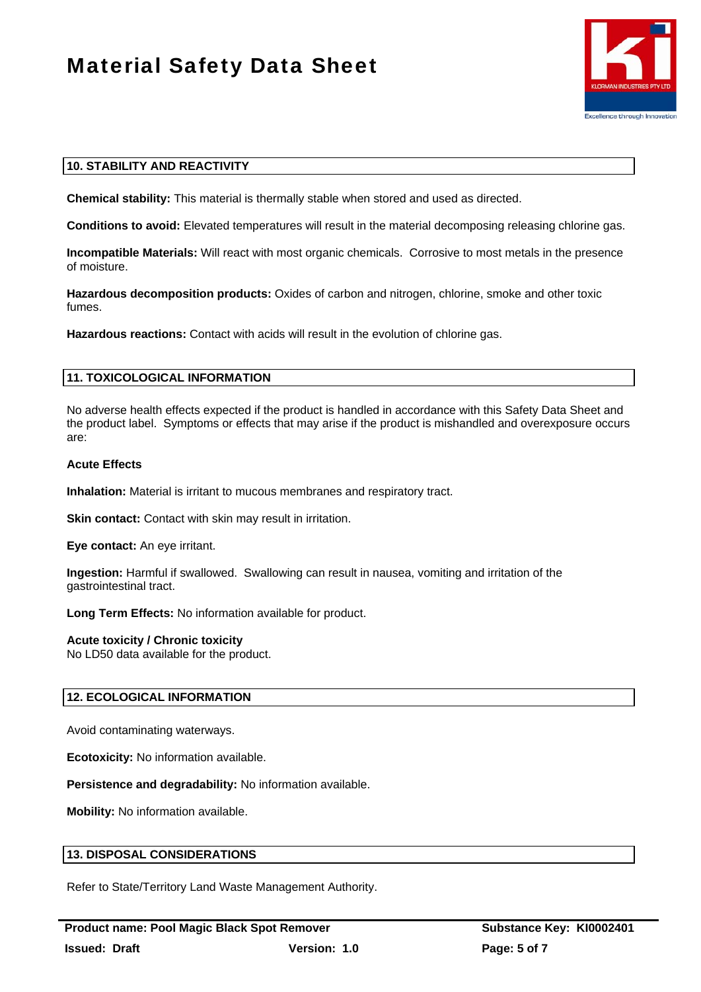# Material Safety Data Sheet



## **10. STABILITY AND REACTIVITY**

**Chemical stability:** This material is thermally stable when stored and used as directed.

**Conditions to avoid:** Elevated temperatures will result in the material decomposing releasing chlorine gas.

**Incompatible Materials:** Will react with most organic chemicals. Corrosive to most metals in the presence of moisture.

**Hazardous decomposition products:** Oxides of carbon and nitrogen, chlorine, smoke and other toxic fumes.

**Hazardous reactions:** Contact with acids will result in the evolution of chlorine gas.

### **11. TOXICOLOGICAL INFORMATION**

No adverse health effects expected if the product is handled in accordance with this Safety Data Sheet and the product label. Symptoms or effects that may arise if the product is mishandled and overexposure occurs are:

### **Acute Effects**

**Inhalation:** Material is irritant to mucous membranes and respiratory tract.

**Skin contact:** Contact with skin may result in irritation.

**Eye contact:** An eye irritant.

**Ingestion:** Harmful if swallowed. Swallowing can result in nausea, vomiting and irritation of the gastrointestinal tract.

**Long Term Effects:** No information available for product.

#### **Acute toxicity / Chronic toxicity**

No LD50 data available for the product.

### **12. ECOLOGICAL INFORMATION**

Avoid contaminating waterways.

**Ecotoxicity:** No information available.

**Persistence and degradability:** No information available.

**Mobility:** No information available.

## **13. DISPOSAL CONSIDERATIONS**

Refer to State/Territory Land Waste Management Authority.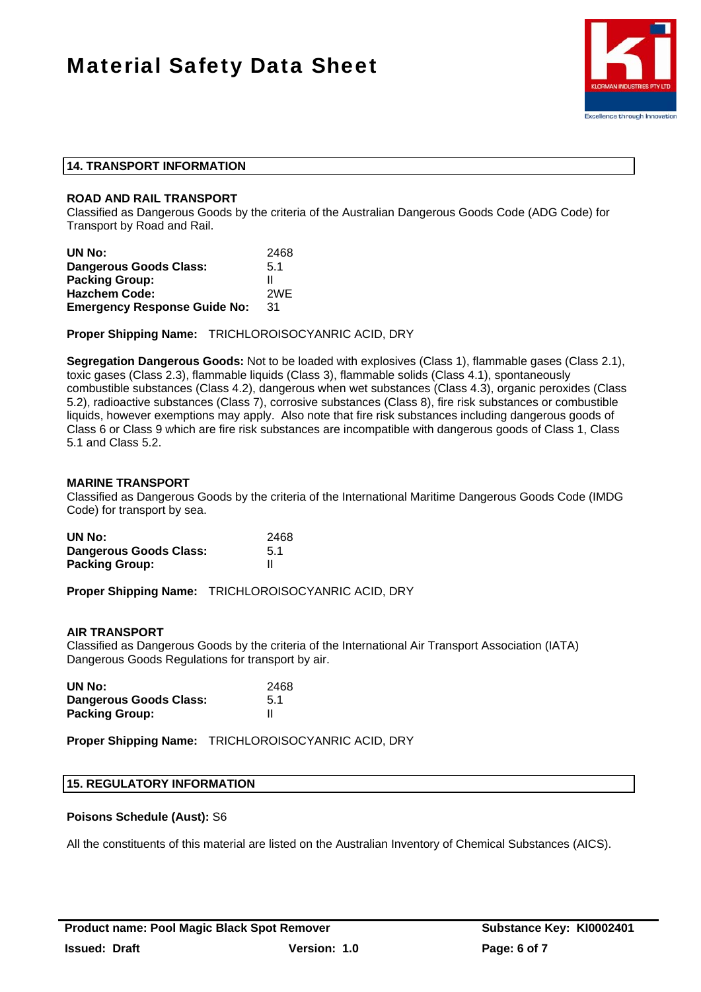# Material Safety Data Sheet



## **14. TRANSPORT INFORMATION**

### **ROAD AND RAIL TRANSPORT**

Classified as Dangerous Goods by the criteria of the Australian Dangerous Goods Code (ADG Code) for Transport by Road and Rail.

| UN No:                              | 2468 |
|-------------------------------------|------|
| Dangerous Goods Class:              | 5.1  |
| <b>Packing Group:</b>               | Ш    |
| <b>Hazchem Code:</b>                | 2WE  |
| <b>Emergency Response Guide No:</b> | .31  |

**Proper Shipping Name:** TRICHLOROISOCYANRIC ACID, DRY

**Segregation Dangerous Goods:** Not to be loaded with explosives (Class 1), flammable gases (Class 2.1), toxic gases (Class 2.3), flammable liquids (Class 3), flammable solids (Class 4.1), spontaneously combustible substances (Class 4.2), dangerous when wet substances (Class 4.3), organic peroxides (Class 5.2), radioactive substances (Class 7), corrosive substances (Class 8), fire risk substances or combustible liquids, however exemptions may apply. Also note that fire risk substances including dangerous goods of Class 6 or Class 9 which are fire risk substances are incompatible with dangerous goods of Class 1, Class 5.1 and Class 5.2.

### **MARINE TRANSPORT**

Classified as Dangerous Goods by the criteria of the International Maritime Dangerous Goods Code (IMDG Code) for transport by sea.

| UN No:                        | 2468 |
|-------------------------------|------|
| <b>Dangerous Goods Class:</b> | 5.1  |
| <b>Packing Group:</b>         |      |

**Proper Shipping Name:** TRICHLOROISOCYANRIC ACID, DRY

### **AIR TRANSPORT**

Classified as Dangerous Goods by the criteria of the International Air Transport Association (IATA) Dangerous Goods Regulations for transport by air.

| UN No:                        | 2468 |
|-------------------------------|------|
| <b>Dangerous Goods Class:</b> | 5.1  |
| <b>Packing Group:</b>         |      |

**Proper Shipping Name:** TRICHLOROISOCYANRIC ACID, DRY

## **15. REGULATORY INFORMATION**

### **Poisons Schedule (Aust):** S6

All the constituents of this material are listed on the Australian Inventory of Chemical Substances (AICS).